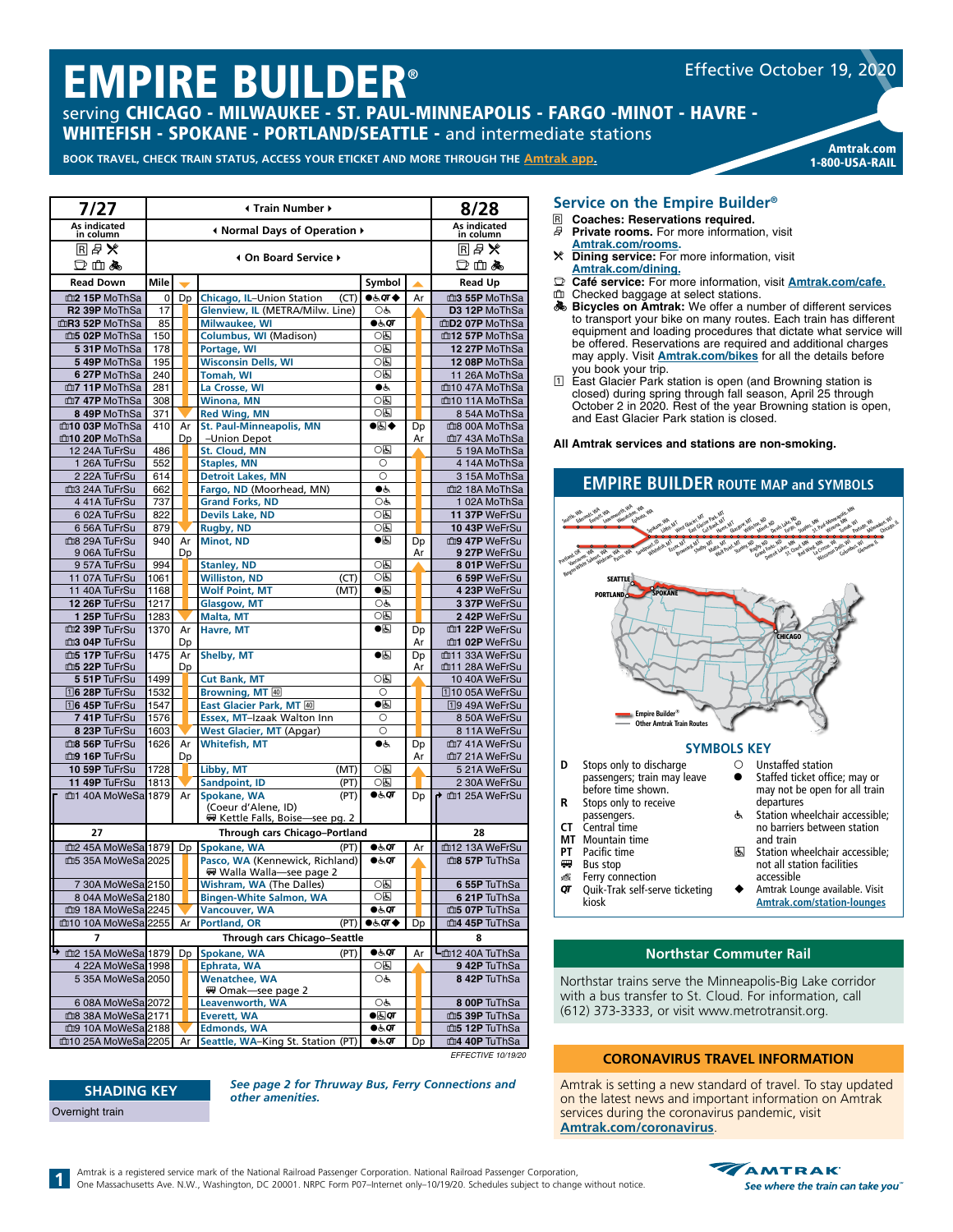# EMPIRE BUILDER®

serving CHICAGO - MILWAUKEE - ST. PAUL-MINNEAPOLIS - FARGO -MINOT - HAVRE -WHITEFISH - SPOKANE - PORTLAND/SEATTLE - and intermediate stations

BOOK TRAVEL, CHECK TRAIN STATUS, ACCESS YOUR ETICKET AND MORE THROUGH THE [Amtrak app](https://www.amtrak.com/mobile).

| Amtrak.com     |
|----------------|
| 1-800-USA-RAIL |

Effective October 19, 2020

| 7/27                                        |              |          | ∢ Train Number ▶                                        |                          |          | 8/28                                        |
|---------------------------------------------|--------------|----------|---------------------------------------------------------|--------------------------|----------|---------------------------------------------|
| As indicated<br>in column                   |              |          | I Normal Days of Operation ▶                            |                          |          | As indicated<br>in column                   |
| 同日火                                         |              |          | 4 On Board Service ▶                                    |                          |          | RØ¥                                         |
| 口山丸                                         |              |          |                                                         |                          |          | 口山あ                                         |
| <b>Read Down</b>                            | Mile         |          |                                                         | Symbol                   |          | <b>Read Up</b>                              |
| m2 15P MoThSa                               | 0            | Dp       | Chicago, IL-Union Station<br>(CT)                       | $\bullet$ & or $\bullet$ | Ar       | m3 55P MoThSa                               |
| R <sub>2</sub> 39P MoThSa<br>mR3 52P MoThSa | 17<br>85     |          | Glenview, IL (METRA/Milw. Line)<br><b>Milwaukee, WI</b> | OĠ,<br>●க்ள              |          | D3 12P MoThSa<br>mD <sub>2</sub> 07P MoThSa |
| m5 02P MoThSa                               | 150          |          | Columbus, WI (Madison)                                  | 05                       |          | m12 57P MoThSa                              |
| 5 31P MoThSa                                | 178          |          | Portage, WI                                             | 0回                       |          | 12 27P MoThSa                               |
| 5 49P MoThSa                                | 195          |          | <b>Wisconsin Dells, WI</b>                              | 0 ह                      |          | 12 08P MoThSa                               |
| 6 27P MoThSa                                | 240          |          | <b>Tomah, WI</b>                                        | 06                       |          | 11 26A MoThSa                               |
| 血7 11P MoThSa<br>m7 47P MoThSa              | 281<br>308   |          | La Crosse, WI<br><b>Winona, MN</b>                      | ●ه<br>06                 |          | m10 47A MoThSa<br>m10 11A MoThSa            |
| 8 49P MoThSa                                | 371          |          | <b>Red Wing, MN</b>                                     | 05                       |          | 8 54A MoThSa                                |
| m10 03P MoThSa                              | 410          | Ar       | <b>St. Paul-Minneapolis, MN</b>                         | ●圆◆                      | Dp       | 血8 00A MoThSa                               |
| m10 20P MoThSa                              |              | Dp       | -Union Depot                                            |                          | Ar       | md7 43A MoThSa                              |
| 12 24A TuFrSu                               | 486          |          | St. Cloud, MN                                           | 0⊡                       |          | 5 19A MoThSa                                |
| 1 26A TuFrSu<br>2 22A TuFrSu                | 552<br>614   |          | <b>Staples, MN</b><br><b>Detroit Lakes, MN</b>          | O<br>O                   |          | 4 14A MoThSa<br>3 15A MoThSa                |
| m3 24A TuFrSu                               | 662          |          | Fargo, ND (Moorhead, MN)                                | ●೬                       |          | mm2 18A MoThSa                              |
| 4 41A TuFrSu                                | 737          |          | <b>Grand Forks, ND</b>                                  | OĠ,                      |          | 1 02A MoThSa                                |
| 6 02A TuFrSu                                | 822          |          | <b>Devils Lake, ND</b>                                  | 06                       |          | 11 37P WeFrSu                               |
| 6 56A TuFrSu                                | 879          |          | <b>Rugby, ND</b>                                        | 05                       |          | 10 43P WeFrSu                               |
| m <sub>8</sub> 29A TuFrSu<br>9 06A TuFrSu   | 940          | Ar<br>Dp | <b>Minot, ND</b>                                        | $\bullet$                | Dp<br>Ar | m9 47P WeFrSu<br>9 27P WeFrSu               |
| 957A TuFrSu                                 | 994          |          | <b>Stanley, ND</b>                                      | 0 ह                      |          | 8 01P WeFrSu                                |
| 11 07A TuFrSu                               | 1061         |          | <b>Williston, ND</b><br>(CT)                            | 05                       |          | 6 59P WeFrSu                                |
| 11 40A TuFrSu                               | 1168         |          | <b>Wolf Point, MT</b><br>(MT)                           | $\bullet$ g              |          | 4 23P WeFrSu                                |
| 12 26P TuFrSu                               | 1217<br>1283 |          | Glasgow, MT                                             | OĠ,<br>○६                |          | 3 37P WeFrSu<br>2 42P WeFrSu                |
| 1 25P TuFrSu<br>m2 39P TuFrSu               | 1370         | Ar       | Malta, MT<br>Havre, MT                                  | $\bullet$ g              | Dp       | m1 22P WeFrSu                               |
| m3 04P TuFrSu                               |              | Dp       |                                                         |                          | Ar       | m1 02P WeFrSu                               |
| m5 17P TuFrSu                               | 1475         | Ar       | Shelby, MT                                              | $\bullet$ g              | Dp       | mutual 33A WeFrSu                           |
| m5 22P TuFrSu<br>5 51P TuFrSu               | 1499         | Dp       | <b>Cut Bank, MT</b>                                     | ाड                       | Ar       | mt1 28A WeFrSu<br>10 40A WeFrSu             |
| 16 28P TuFrSu                               | 1532         |          | Browning, MT 40                                         | O                        |          | 110 05A WeFrSu                              |
| 16 45P TuFrSu                               | 1547         |          | East Glacier Park, MT 40                                | $\bullet$ g              |          | 19 49A WeFrSu                               |
| 7 41P TuFrSu                                | 1576         |          | Essex, MT-Izaak Walton Inn                              | $\circ$                  |          | 8 50A WeFrSu                                |
| 8 23P TuFrSu                                | 1603         |          | <b>West Glacier, MT (Apgar)</b>                         | O                        |          | 8 11A WeFrSu                                |
| m8 56P TuFrSu<br>m9 16P TuFrSu              | 1626         | Ar       | <b>Whitefish, MT</b>                                    | ⊜ٺ                       | Dp<br>Ar | 血7 41A WeFrSu<br>血7 21A WeFrSu              |
| 10 59P TuFrSu                               | 1728         | Dp       | Libby, MT<br>(MT)                                       | 05                       |          | 5 21A WeFrSu                                |
| 11 49P TuFrSu                               | 1813         |          | <b>Sandpoint, ID</b><br>(PT)                            | 0回                       |          | 2 30A WeFrSu                                |
| m1 40A MoWeSa 1879                          |              | Ar       | Spokane, WA<br>(PT)                                     | ●रूक                     | Dp       | mt1 25A WeFrSu                              |
|                                             |              |          | (Coeur d'Alene, ID)<br>₩ Kettle Falls, Boise—see pg. 2  |                          |          |                                             |
| 27                                          |              |          | Through cars Chicago-Portland                           |                          |          | 28                                          |
| m2 45A MoWeSa 1879                          |              | Dp       | Spokane, WA<br>(PT)                                     | $\bullet$ க்ள            | Ar       | m12 13A WeFrSu                              |
| 血5 35A MoWeSa 2025                          |              |          | Pasco, WA (Kennewick, Richland)                         | $\bullet$ க்ள            |          | m <sup>8</sup> 57P TuThSa                   |
|                                             |              |          | ₩ Walla Walla-see page 2                                |                          |          |                                             |
| 7 30A MoWeSa 2150                           |              |          | Wishram, WA (The Dalles)                                | 05                       |          | 6 55P TuThSa                                |
| 8 04A MoWeSa 2180<br>血9 18A MoWeSa 2245     |              |          | <b>Bingen-White Salmon, WA</b><br><b>Vancouver, WA</b>  | ০ম্ভ<br>●க்⊄             |          | 6 21P TuThSa<br>₾5 07P TuThSa               |
| m10 10A MoWeSa 2255                         |              | Ar       | <b>Portland, OR</b><br>(PT)                             | ●よの◆                     | Dp       | m4 45P TuThSa                               |
| 7                                           |              |          | Through cars Chicago-Seattle                            |                          |          | 8                                           |
| → 血2 15A MoWeSa 1879                        |              | Dp       | Spokane, WA<br>(PT)                                     | ●रूे⊄                    | Ar       | Lm12 40A TuThSa                             |
| 4 22A MoWeSa 1998                           |              |          | Ephrata, WA                                             | 06                       |          | 9 42P TuThSa                                |
| 5 35A MoWeSa 2050                           |              |          | <b>Wenatchee, WA</b>                                    | OĠ                       |          | 8 42P TuThSa                                |
| 6 08A MoWeSa 2072                           |              |          | ₩ Omak-see page 2<br>Leavenworth, WA                    | OĠ                       |          | 8 00P TuThSa                                |
| 血8 38A MoWeSa 2171                          |              |          | <b>Everett, WA</b>                                      | ●குள                     |          | m5 39P TuThSa                               |
| m9 10A MoWeSa 2188                          |              |          | <b>Edmonds, WA</b>                                      | ●रूं⊄                    |          | m5 12P TuThSa                               |
| m10 25A MoWeSa 2205                         |              | Ar       | Seattle, WA-King St. Station (PT)                       | ●रूं⊄                    | Dp       | m4 40P TuThSa<br>EFFECTIVE 10/19/20         |

## **Service on the Empire Builder®**

- **R Coaches: Reservations required.**<br>*R* **Private rooms** For more information **Private rooms.** For more information, visit
- **[Amtrak.com/rooms.](https://www.amtrak.com/rooms)** r **Dining service:** For more information, visit
- **[Amtrak.com/dining.](https://www.amtrak.com/onboard-the-train-meals-dining)** y **Café service:** For more information, visit **[Amtrak.com/c](https://www.amtrak.com/cafe)afe.**
- Checked baggage at select stations.
- O **Bicycles on Amtrak:** We offer a number of different services to transport your bike on many routes. Each train has different equipment and loading procedures that dictate what service will be offered. Reservations are required and additional charges may apply. Visit **[Amtrak.com/bikes](https://www.amtrak.com/bikes)** for all the details before you book your trip.
- 11 East Glacier Park station is open (and Browning station is closed) during spring through fall season, April 25 through October 2 in 2020. Rest of the year Browning station is open, and East Glacier Park station is closed.



Amtrak Lounge available. Visit **[Amtrak.com/station-lounges](https://www.amtrak.com/station-lounges)**

## **Northstar Commuter Rail**

Northstar trains serve the Minneapolis-Big Lake corridor with a bus transfer to St. Cloud. For information, call (612) 373-3333, or visit www.metrotransit.org.

kiosk

## **CORONAVIRUS TRAVEL INFORMATION**

Amtrak is setting a new standard of travel. To stay updated on the latest news and important information on Amtrak services during the coronavirus pandemic, visit **[Amtrak.com/](https://www.amtrak.com/coronavirus)coronavirus**.

**SHADING KEY** Overnight train

**1**

*See page 2 for Thruway Bus, Ferry Connections and other amenities.*

Amtrak is a registered service mark of the National Railroad Passenger Corporation. National Railroad Passenger Corporation,



**All Amtrak services and stations are non-smoking.**